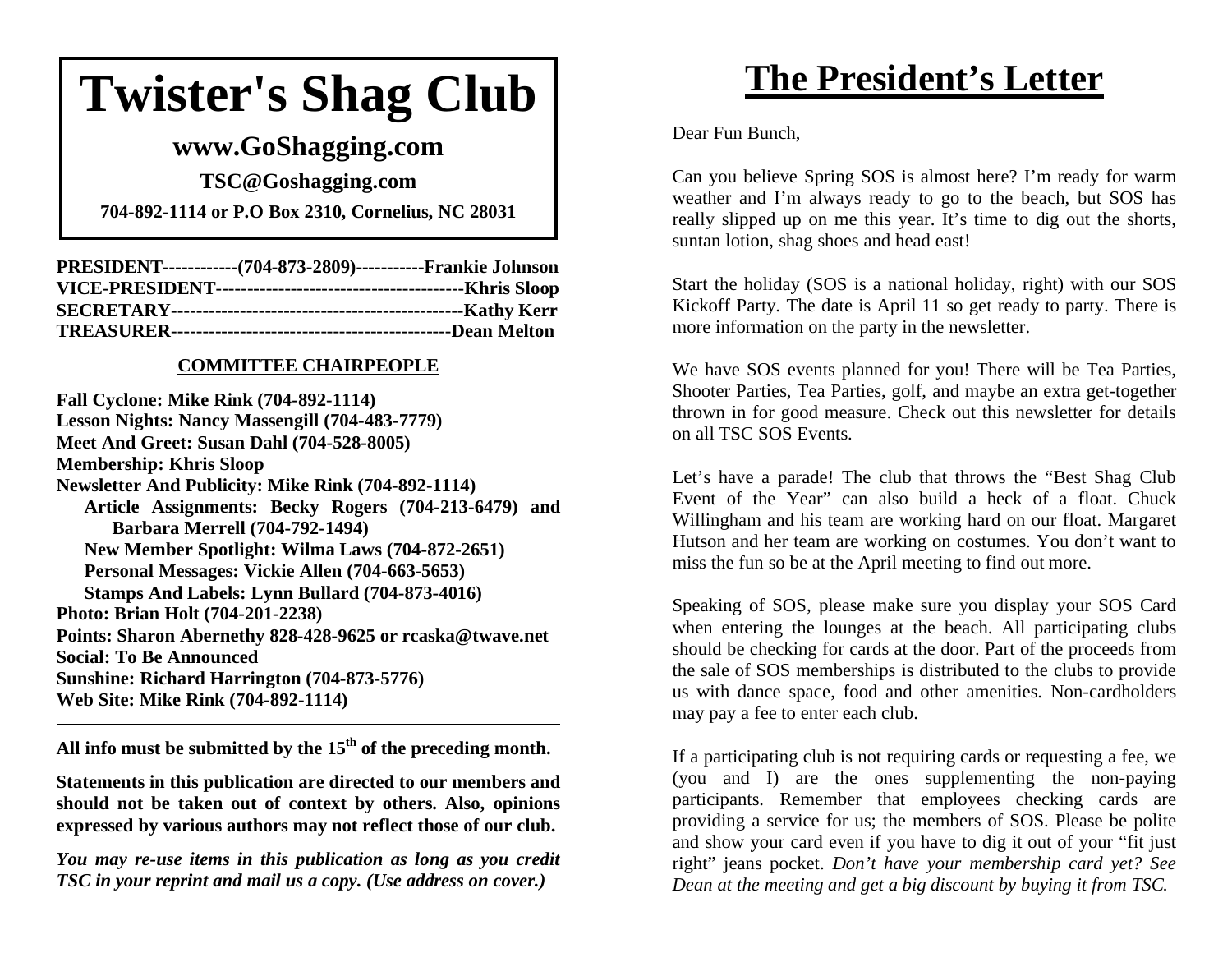## **Twister's Shag Club**

## **www.GoShagging.com**

**TSC@Goshagging.com 704-892-1114 or P.O Box 2310, Cornelius, NC 28031** 

**PRESIDENT------------(704-873-2809)-----------Frankie Johnson VICE-PRESIDENT----------------------------------------Khris Sloop SECRETARY-----------------------------------------------Kathy Kerr TREASURER---------------------------------------------Dean Melton** 

#### **COMMITTEE CHAIRPEOPLE**

**Fall Cyclone: Mike Rink (704-892-1114) Lesson Nights: Nancy Massengill (704-483-7779) Meet And Greet: Susan Dahl (704-528-8005) Membership: Khris Sloop Newsletter And Publicity: Mike Rink (704-892-1114) Article Assignments: Becky Rogers (704-213-6479) and Barbara Merrell (704-792-1494) New Member Spotlight: Wilma Laws (704-872-2651) Personal Messages: Vickie Allen (704-663-5653) Stamps And Labels: Lynn Bullard (704-873-4016) Photo: Brian Holt (704-201-2238) Points: Sharon Abernethy 828-428-9625 or rcaska@twave.net Social: To Be Announced Sunshine: Richard Harrington (704-873-5776) Web Site: Mike Rink (704-892-1114)** 

**All info must be submitted by the 15th of the preceding month.** 

**Statements in this publication are directed to our members and should not be taken out of context by others. Also, opinions expressed by various authors may not reflect those of our club.** 

*You may re-use items in this publication as long as you credit TSC in your reprint and mail us a copy. (Use address on cover.)* 

## **The President's Letter**

Dear Fun Bunch,

Can you believe Spring SOS is almost here? I'm ready for warm weather and I'm always ready to go to the beach, but SOS has really slipped up on me this year. It's time to dig out the shorts, suntan lotion, shag shoes and head east!

Start the holiday (SOS is a national holiday, right) with our SOS Kickoff Party. The date is April 11 so get ready to party. There is more information on the party in the newsletter.

We have SOS events planned for you! There will be Tea Parties, Shooter Parties, Tea Parties, golf, and maybe an extra get-together thrown in for good measure. Check out this newsletter for details on all TSC SOS Events.

Let's have a parade! The club that throws the "Best Shag Club Event of the Year" can also build a heck of a float. Chuck Willingham and his team are working hard on our float. Margaret Hutson and her team are working on costumes. You don't want to miss the fun so be at the April meeting to find out more.

Speaking of SOS, please make sure you display your SOS Card when entering the lounges at the beach. All participating clubs should be checking for cards at the door. Part of the proceeds from the sale of SOS memberships is distributed to the clubs to provide us with dance space, food and other amenities. Non-cardholders may pay a fee to enter each club.

If a participating club is not requiring cards or requesting a fee, we (you and I) are the ones supplementing the non-paying participants. Remember that employees checking cards are providing a service for us; the members of SOS. Please be polite and show your card even if you have to dig it out of your "fit just right" jeans pocket. *Don't have your membership card yet? See Dean at the meeting and get a big discount by buying it from TSC.*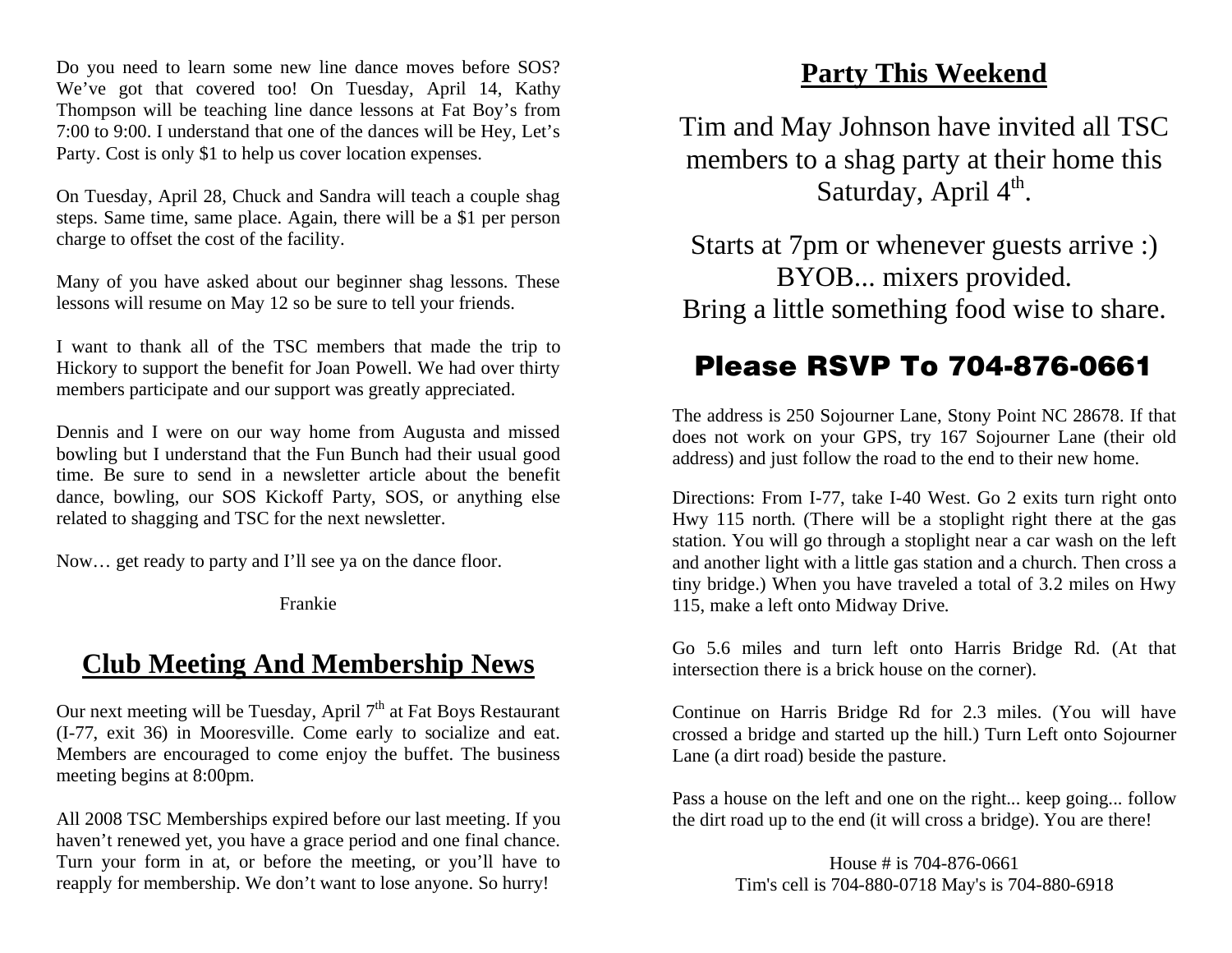Do you need to learn some new line dance moves before SOS? We've got that covered too! On Tuesday, April 14, Kathy Thompson will be teaching line dance lessons at Fat Boy's from 7:00 to 9:00. I understand that one of the dances will be Hey, Let's Party. Cost is only \$1 to help us cover location expenses.

On Tuesday, April 28, Chuck and Sandra will teach a couple shag steps. Same time, same place. Again, there will be a \$1 per person charge to offset the cost of the facility.

Many of you have asked about our beginner shag lessons. These lessons will resume on May 12 so be sure to tell your friends.

I want to thank all of the TSC members that made the trip to Hickory to support the benefit for Joan Powell. We had over thirty members participate and our support was greatly appreciated.

Dennis and I were on our way home from Augusta and missed bowling but I understand that the Fun Bunch had their usual good time. Be sure to send in a newsletter article about the benefit dance, bowling, our SOS Kickoff Party, SOS, or anything else related to shagging and TSC for the next newsletter.

Now… get ready to party and I'll see ya on the dance floor.

Frankie

## **Club Meeting And Membership News**

Our next meeting will be Tuesday, April  $7<sup>th</sup>$  at Fat Boys Restaurant (I-77, exit 36) in Mooresville. Come early to socialize and eat. Members are encouraged to come enjoy the buffet. The business meeting begins at 8:00pm.

All 2008 TSC Memberships expired before our last meeting. If you haven't renewed yet, you have a grace period and one final chance. Turn your form in at, or before the meeting, or you'll have to reapply for membership. We don't want to lose anyone. So hurry!

## **Party This Weekend**

Tim and May Johnson have invited all TSC members to a shag party at their home this Saturday, April 4<sup>th</sup>.

Starts at 7pm or whenever guests arrive :) BYOB... mixers provided. Bring a little something food wise to share.

## **Please RSVP To 704-876-0661**

The address is 250 Sojourner Lane, Stony Point NC 28678. If that does not work on your GPS, try 167 Sojourner Lane (their old address) and just follow the road to the end to their new home.

Directions: From I-77, take I-40 West. Go 2 exits turn right onto Hwy 115 north. (There will be a stoplight right there at the gas station. You will go through a stoplight near a car wash on the left and another light with a little gas station and a church. Then cross a tiny bridge.) When you have traveled a total of 3.2 miles on Hwy 115, make a left onto Midway Drive.

Go 5.6 miles and turn left onto Harris Bridge Rd. (At that intersection there is a brick house on the corner).

Continue on Harris Bridge Rd for 2.3 miles. (You will have crossed a bridge and started up the hill.) Turn Left onto Sojourner Lane (a dirt road) beside the pasture.

Pass a house on the left and one on the right... keep going... follow the dirt road up to the end (it will cross a bridge). You are there!

> House # is 704-876-0661 Tim's cell is 704-880-0718 May's is 704-880-6918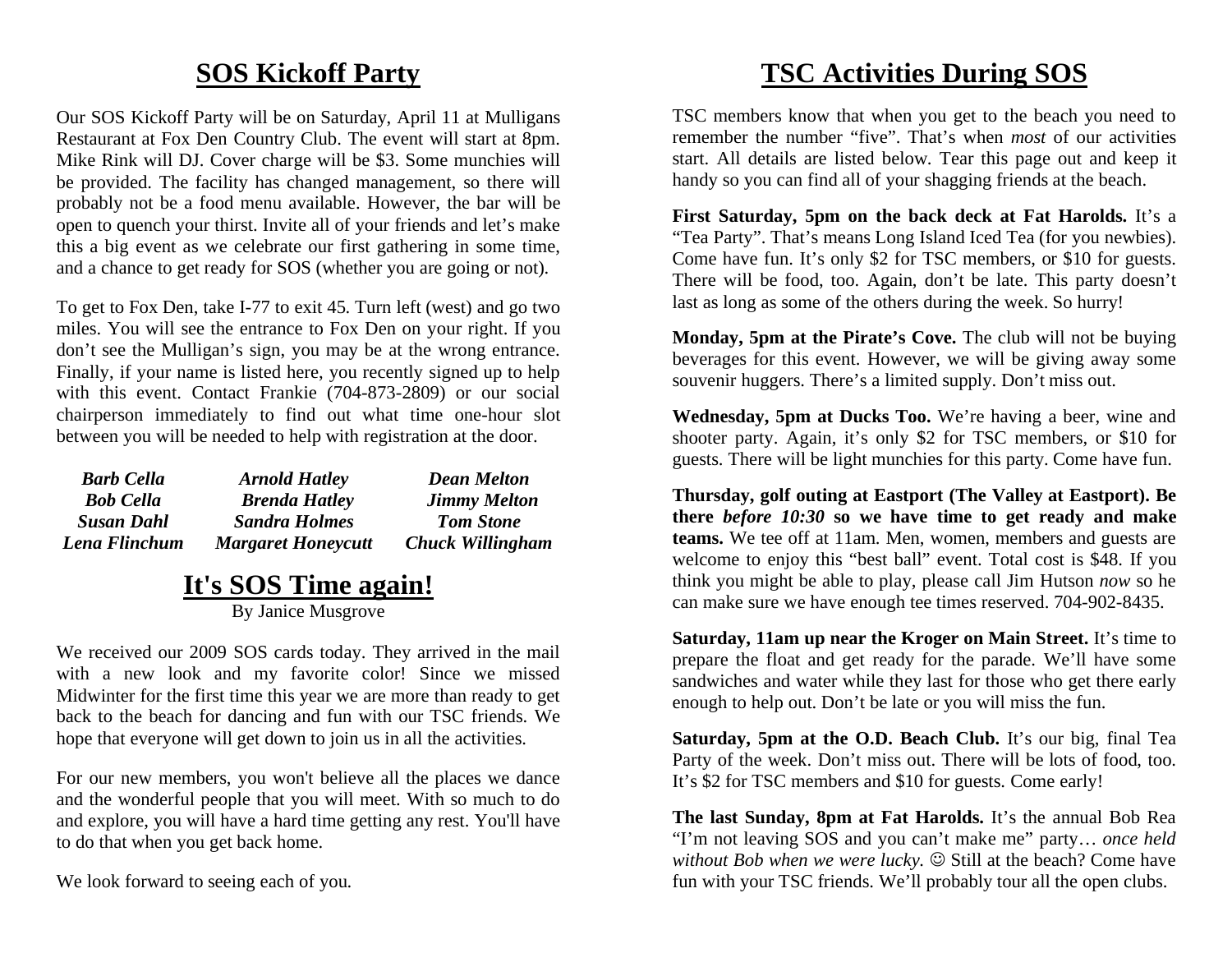## **SOS Kickoff Party**

Our SOS Kickoff Party will be on Saturday, April 11 at Mulligans Restaurant at Fox Den Country Club. The event will start at 8pm. Mike Rink will DJ. Cover charge will be \$3. Some munchies will be provided. The facility has changed management, so there will probably not be a food menu available. However, the bar will be open to quench your thirst. Invite all of your friends and let's make this a big event as we celebrate our first gathering in some time, and a chance to get ready for SOS (whether you are going or not).

To get to Fox Den, take I-77 to exit 45. Turn left (west) and go two miles. You will see the entrance to Fox Den on your right. If you don't see the Mulligan's sign, you may be at the wrong entrance. Finally, if your name is listed here, you recently signed up to help with this event. Contact Frankie (704-873-2809) or our social chairperson immediately to find out what time one-hour slot between you will be needed to help with registration at the door.

| <b>Barb Cella</b> | <b>Arnold Hatley</b>      | <b>Dean Melton</b>      |
|-------------------|---------------------------|-------------------------|
| <b>Bob Cella</b>  | <b>Brenda Hatley</b>      | <b>Jimmy Melton</b>     |
| <b>Susan Dahl</b> | <b>Sandra Holmes</b>      | <b>Tom Stone</b>        |
| Lena Flinchum     | <b>Margaret Honeycutt</b> | <b>Chuck Willingham</b> |

## **It's SOS Time again!**

By Janice Musgrove

We received our 2009 SOS cards today. They arrived in the mail with a new look and my favorite color! Since we missed Midwinter for the first time this year we are more than ready to get back to the beach for dancing and fun with our TSC friends. We hope that everyone will get down to join us in all the activities.

For our new members, you won't believe all the places we dance and the wonderful people that you will meet. With so much to do and explore, you will have a hard time getting any rest. You'll have to do that when you get back home.

We look forward to seeing each of you.

## **TSC Activities During SOS**

TSC members know that when you get to the beach you need to remember the number "five". That's when *most* of our activities start. All details are listed below. Tear this page out and keep it handy so you can find all of your shagging friends at the beach.

**First Saturday, 5pm on the back deck at Fat Harolds.** It's a "Tea Party". That's means Long Island Iced Tea (for you newbies). Come have fun. It's only \$2 for TSC members, or \$10 for guests. There will be food, too. Again, don't be late. This party doesn't last as long as some of the others during the week. So hurry!

**Monday, 5pm at the Pirate's Cove.** The club will not be buying beverages for this event. However, we will be giving away some souvenir huggers. There's a limited supply. Don't miss out.

**Wednesday, 5pm at Ducks Too.** We're having a beer, wine and shooter party. Again, it's only \$2 for TSC members, or \$10 for guests. There will be light munchies for this party. Come have fun.

**Thursday, golf outing at Eastport (The Valley at Eastport). Be there** *before 10:30* **so we have time to get ready and make teams.** We tee off at 11am. Men, women, members and guests are welcome to enjoy this "best ball" event. Total cost is \$48. If you think you might be able to play, please call Jim Hutson *now* so he can make sure we have enough tee times reserved. 704-902-8435.

**Saturday, 11am up near the Kroger on Main Street.** It's time to prepare the float and get ready for the parade. We'll have some sandwiches and water while they last for those who get there early enough to help out. Don't be late or you will miss the fun.

**Saturday, 5pm at the O.D. Beach Club.** It's our big, final Tea Party of the week. Don't miss out. There will be lots of food, too. It's \$2 for TSC members and \$10 for guests. Come early!

**The last Sunday, 8pm at Fat Harolds.** It's the annual Bob Rea "I'm not leaving SOS and you can't make me" party… *once held*  without Bob when we were lucky.  $\odot$  Still at the beach? Come have fun with your TSC friends. We'll probably tour all the open clubs.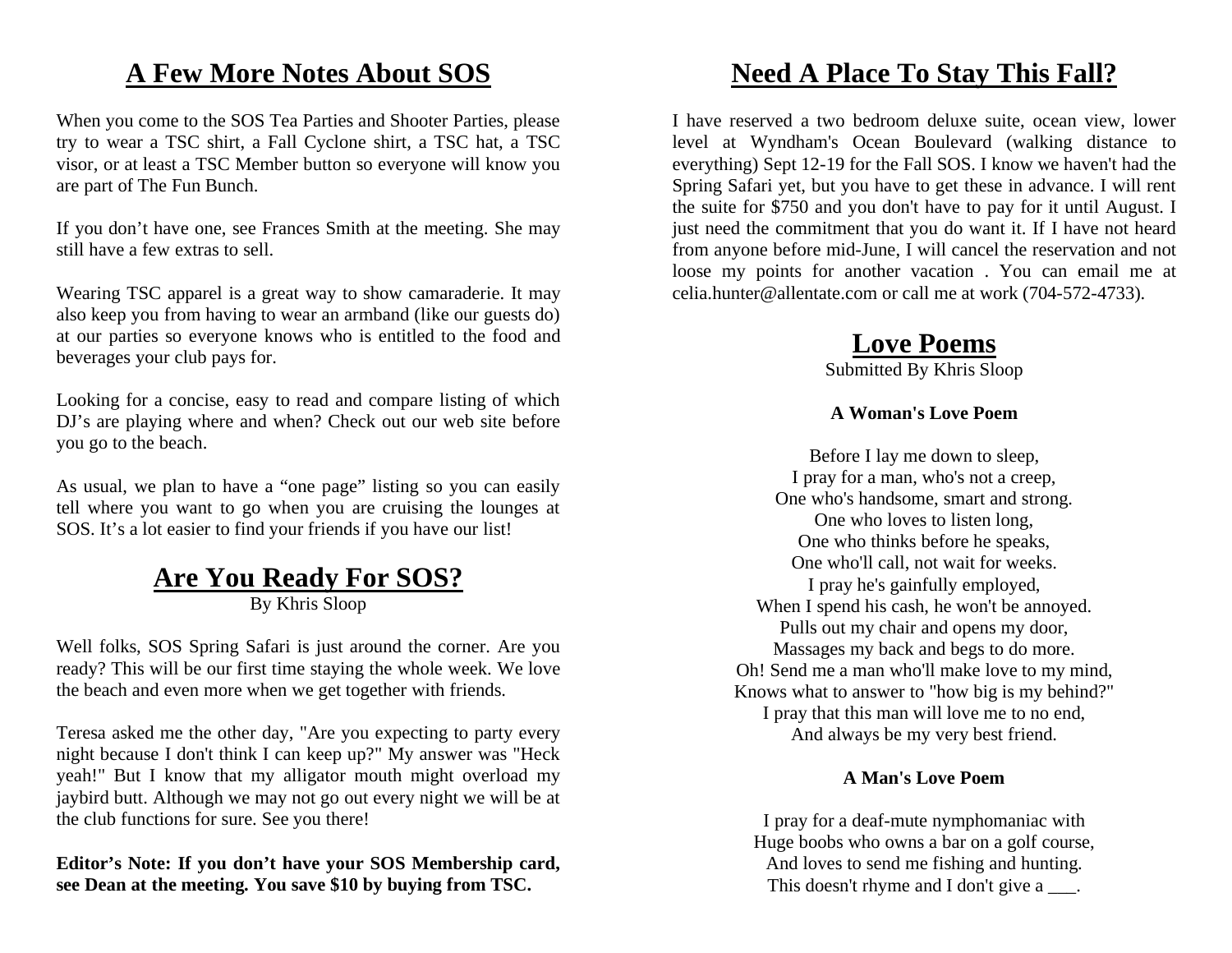## **A Few More Notes About SOS**

When you come to the SOS Tea Parties and Shooter Parties, please try to wear a TSC shirt, a Fall Cyclone shirt, a TSC hat, a TSC visor, or at least a TSC Member button so everyone will know you are part of The Fun Bunch.

If you don't have one, see Frances Smith at the meeting. She may still have a few extras to sell.

Wearing TSC apparel is a great way to show camaraderie. It may also keep you from having to wear an armband (like our guests do) at our parties so everyone knows who is entitled to the food and beverages your club pays for.

Looking for a concise, easy to read and compare listing of which DJ's are playing where and when? Check out our web site before you go to the beach.

As usual, we plan to have a "one page" listing so you can easily tell where you want to go when you are cruising the lounges at SOS. It's a lot easier to find your friends if you have our list!

## **Are You Ready For SOS?**

By Khris Sloop

Well folks, SOS Spring Safari is just around the corner. Are you ready? This will be our first time staying the whole week. We love the beach and even more when we get together with friends.

Teresa asked me the other day, "Are you expecting to party every night because I don't think I can keep up?" My answer was "Heck yeah!" But I know that my alligator mouth might overload my jaybird butt. Although we may not go out every night we will be at the club functions for sure. See you there!

#### **Editor's Note: If you don't have your SOS Membership card, see Dean at the meeting. You save \$10 by buying from TSC.**

## **Need A Place To Stay This Fall?**

I have reserved a two bedroom deluxe suite, ocean view, lower level at Wyndham's Ocean Boulevard (walking distance to everything) Sept 12-19 for the Fall SOS. I know we haven't had the Spring Safari yet, but you have to get these in advance. I will rent the suite for \$750 and you don't have to pay for it until August. I just need the commitment that you do want it. If I have not heard from anyone before mid-June, I will cancel the reservation and not loose my points for another vacation . You can email me at celia.hunter@allentate.com or call me at work (704-572-4733).

## **Love Poems**

Submitted By Khris Sloop

#### **A Woman's Love Poem**

Before I lay me down to sleep, I pray for a man, who's not a creep, One who's handsome, smart and strong. One who loves to listen long, One who thinks before he speaks, One who'll call, not wait for weeks. I pray he's gainfully employed, When I spend his cash, he won't be annoyed. Pulls out my chair and opens my door, Massages my back and begs to do more. Oh! Send me a man who'll make love to my mind, Knows what to answer to "how big is my behind?" I pray that this man will love me to no end, And always be my very best friend.

#### **A Man's Love Poem**

I pray for a deaf-mute nymphomaniac with Huge boobs who owns a bar on a golf course, And loves to send me fishing and hunting. This doesn't rhyme and I don't give a ...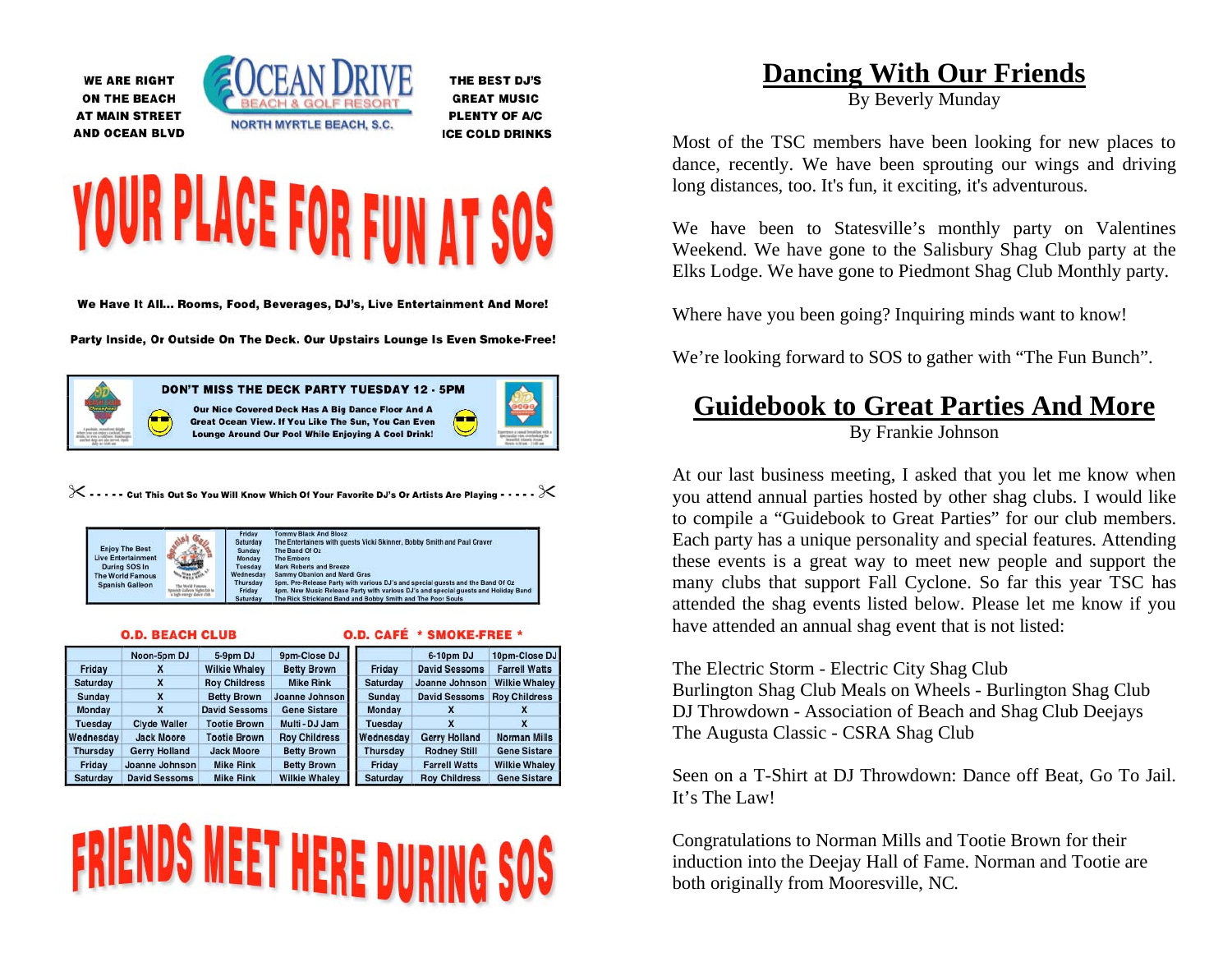**WE ARE RIGHT ON THE BEACH AT MAIN STREET AND OCEAN BLVD** 



THE BEST DJ'S **GREAT MUSIC** PLENTY OF A/C **ICE COLD DRINKS** 



We Have It All... Rooms, Food, Beverages, DJ's, Live Entertainment And More!

Party Inside, Or Outside On The Deck. Our Upstairs Lounge Is Even Smoke-Free!



```
\times \cdots cut This Out So You Will Know Which Of Your Favorite DJ's Or Artists Are Playing \cdots . \times
```

| <b>Enjoy The Best</b><br><b>Live Entertainment</b><br>During SOS In<br><b>The Street Institute</b><br><b>The World Famous</b><br><b>Spanish Galleon</b><br>ney dance chill | Friday<br>Saturday<br>Sunday<br>Monday<br>Tuesday<br>Wednesday<br>Thursday<br>Friday<br>Saturday | Tommy Black And Blooz<br>The Entertainers with quests Vicki Skinner, Bobby Smith and Paul Craver<br>The Band Of Oz<br><b>The Embers</b><br>Mark Roberts and Breeze<br><b>Sammy Obanion and Mardi Gras</b><br>5pm, Pre-Release Party with various DJ's and special quests and the Band Of Oz<br>4pm, New Music Release Party with various DJ's and special quests and Holiday Band<br>The Rick Strickland Band and Bobby Smith and The Poor Souls |
|----------------------------------------------------------------------------------------------------------------------------------------------------------------------------|--------------------------------------------------------------------------------------------------|--------------------------------------------------------------------------------------------------------------------------------------------------------------------------------------------------------------------------------------------------------------------------------------------------------------------------------------------------------------------------------------------------------------------------------------------------|
|----------------------------------------------------------------------------------------------------------------------------------------------------------------------------|--------------------------------------------------------------------------------------------------|--------------------------------------------------------------------------------------------------------------------------------------------------------------------------------------------------------------------------------------------------------------------------------------------------------------------------------------------------------------------------------------------------------------------------------------------------|

#### **O.D. BEACH CLUB**

**O.D. CAFÉ \* SMOKE-FREE \*** 

|                 | Noon-5pm DJ          | 5-9pm DJ             | 9pm-Close DJ         |                 | 6-10pm DJ            | 10pm-Close DJ        |
|-----------------|----------------------|----------------------|----------------------|-----------------|----------------------|----------------------|
| Friday          |                      | <b>Wilkie Whaley</b> | <b>Betty Brown</b>   | Friday          | <b>David Sessoms</b> | <b>Farrell Watts</b> |
|                 |                      |                      | <b>Mike Rink</b>     |                 | Joanne Johnson       | <b>Wilkie Whaley</b> |
| Saturday        |                      | <b>Roy Childress</b> |                      | Saturday        |                      |                      |
| Sunday          | X                    | <b>Betty Brown</b>   | Joanne Johnson       | Sunday          | <b>David Sessoms</b> | <b>Roy Childress</b> |
| Monday          |                      | <b>David Sessoms</b> | <b>Gene Sistare</b>  | Monday          |                      |                      |
| <b>Tuesday</b>  | <b>Clyde Waller</b>  | <b>Tootie Brown</b>  | Multi-DJ Jam         | <b>Tuesday</b>  |                      |                      |
| Wednesday       | <b>Jack Moore</b>    | <b>Tootie Brown</b>  | <b>Roy Childress</b> | Wednesday       | <b>Gerry Holland</b> | <b>Norman Mills</b>  |
| <b>Thursday</b> | <b>Gerry Holland</b> | <b>Jack Moore</b>    | <b>Betty Brown</b>   | Thursday        | <b>Rodney Still</b>  | <b>Gene Sistare</b>  |
| Friday          | Joanne Johnson       | <b>Mike Rink</b>     | <b>Betty Brown</b>   | Friday          | <b>Farrell Watts</b> | <b>Wilkie Whaley</b> |
| <b>Saturday</b> | <b>David Sessoms</b> | <b>Mike Rink</b>     | <b>Wilkie Whalev</b> | <b>Saturday</b> | <b>Roy Childress</b> | <b>Gene Sistare</b>  |

# **FRIENDS MEET HERE DURING SOS**

## **Dancing With Our Friends**

By Beverly Munday

Most of the TSC members have been looking for new places to dance, recently. We have been sprouting our wings and driving long distances, too. It's fun, it exciting, it's adventurous.

We have been to Statesville's monthly party on Valentines Weekend. We have gone to the Salisbury Shag Club party at the Elks Lodge. We have gone to Piedmont Shag Club Monthly party.

Where have you been going? Inquiring minds want to know!

We're looking forward to SOS to gather with "The Fun Bunch".

## **Guidebook to Great Parties And More**

By Frankie Johnson

At our last business meeting, I asked that you let me know when you attend annual parties hosted by other shag clubs. I would like to compile a "Guidebook to Great Parties" for our club members. Each party has a unique personality and special features. Attending these events is a great way to meet new people and support the many clubs that support Fall Cyclone. So far this year TSC has attended the shag events listed below. Please let me know if you have attended an annual shag event that is not listed:

The Electric Storm - Electric City Shag Club Burlington Shag Club Meals on Wheels - Burlington Shag Club DJ Throwdown - Association of Beach and Shag Club Deejays The Augusta Classic - CSRA Shag Club

Seen on a T-Shirt at DJ Throwdown: Dance off Beat, Go To Jail. It's The Law!

Congratulations to Norman Mills and Tootie Brown for their induction into the Deejay Hall of Fame. Norman and Tootie are both originally from Mooresville, NC.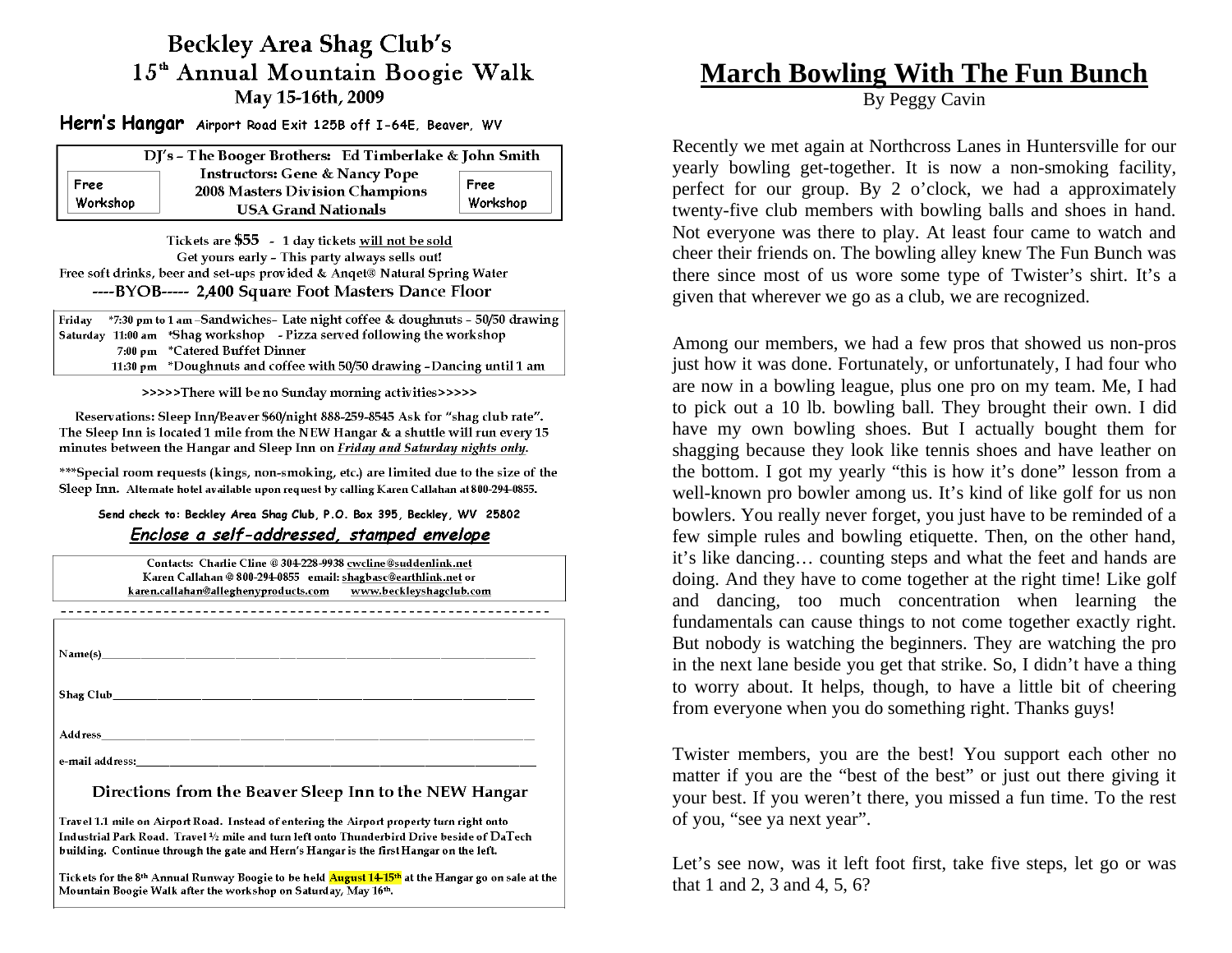#### **Beckley Area Shag Club's** 15<sup>th</sup> Annual Mountain Boogie Walk May 15-16th, 2009

Hern's Hangar Airport Road Exit 125B off I-64E, Beaver, WV

|                  | DJ's - The Booger Brothers: Ed Timberlake & John Smith                                                     |                  |
|------------------|------------------------------------------------------------------------------------------------------------|------------------|
| Free<br>Workshop | <b>Instructors: Gene &amp; Nancy Pope</b><br>2008 Masters Division Champions<br><b>USA Grand Nationals</b> | Free<br>Workshop |

Tickets are \$55 - 1 day tickets will not be sold Get yours early - This party always sells out! Free soft drinks, beer and set-ups provided & Anqet® Natural Spring Water ----BYOB----- 2,400 Square Foot Masters Dance Floor

Friday \*7:30 pm to 1 am -Sandwiches- Late night coffee & doughnuts - 50/50 drawing Saturday 11:00 am \*Shag workshop - Pizza served following the workshop 7:00 pm \*Catered Buffet Dinner 11:30 pm \*Doughnuts and coffee with 50/50 drawing -Dancing until 1 am

>>>>>There will be no Sunday morning activities>>>>>

Reservations: Sleep Inn/Beaver \$60/night 888-259-8545 Ask for "shag club rate". The Sleep Inn is located 1 mile from the NEW Hangar & a shuttle will run every 15 minutes between the Hangar and Sleep Inn on Friday and Saturday nights only.

\*\*\*Special room requests (kings, non-smoking, etc.) are limited due to the size of the Sleep Inn. Alternate hotel available upon request by calling Karen Callahan at 800-294-0855.

Send check to: Beckley Area Shag Club, P.O. Box 395, Beckley, WV 25802 Enclose a self-addressed, stamped envelope

|                                      | Contacts: Charlie Cline @ 304-228-9938 cwcline@suddenlink.net  |
|--------------------------------------|----------------------------------------------------------------|
|                                      | Karen Callahan @ 800-294-0855 email: shagbasc@earthlink.net or |
| karen.callahan@alleghenyproducts.com | www.beckleyshagclub.com                                        |

|  | ------------------------------- |  |
|--|---------------------------------|--|
|  |                                 |  |
|  |                                 |  |
|  |                                 |  |
|  |                                 |  |
|  |                                 |  |
|  |                                 |  |
|  |                                 |  |
|  |                                 |  |
|  |                                 |  |
|  |                                 |  |
|  |                                 |  |
|  |                                 |  |

Directions from the Beaver Sleep Inn to the NEW Hangar

Travel 1.1 mile on Airport Road. Instead of entering the Airport property turn right onto Industrial Park Road. Travel 1/2 mile and turn left onto Thunderbird Drive beside of DaTech building. Continue through the gate and Hern's Hangar is the first Hangar on the left.

Tickets for the 8th Annual Runway Boogie to be held **August 14-15th** at the Hangar go on sale at the Mountain Boogie Walk after the workshop on Saturday, May 16th.

## **March Bowling With The Fun Bunch**

By Peggy Cavin

Recently we met again at Northcross Lanes in Huntersville for our yearly bowling get-together. It is now a non-smoking facility, perfect for our group. By 2 o'clock, we had a approximately twenty-five club members with bowling balls and shoes in hand. Not everyone was there to play. At least four came to watch and cheer their friends on. The bowling alley knew The Fun Bunch was there since most of us wore some type of Twister's shirt. It's a given that wherever we go as a club, we are recognized.

Among our members, we had a few pros that showed us non-pros just how it was done. Fortunately, or unfortunately, I had four who are now in a bowling league, plus one pro on my team. Me, I had to pick out a 10 lb. bowling ball. They brought their own. I did have my own bowling shoes. But I actually bought them for shagging because they look like tennis shoes and have leather on the bottom. I got my yearly "this is how it's done" lesson from a well-known pro bowler among us. It's kind of like golf for us non bowlers. You really never forget, you just have to be reminded of a few simple rules and bowling etiquette. Then, on the other hand, it's like dancing… counting steps and what the feet and hands are doing. And they have to come together at the right time! Like golf and dancing, too much concentration when learning the fundamentals can cause things to not come together exactly right. But nobody is watching the beginners. They are watching the pro in the next lane beside you get that strike. So, I didn't have a thing to worry about. It helps, though, to have a little bit of cheering from everyone when you do something right. Thanks guys!

Twister members, you are the best! You support each other no matter if you are the "best of the best" or just out there giving it your best. If you weren't there, you missed a fun time. To the rest of you, "see ya next year".

Let's see now, was it left foot first, take five steps, let go or was that 1 and 2, 3 and 4, 5, 6?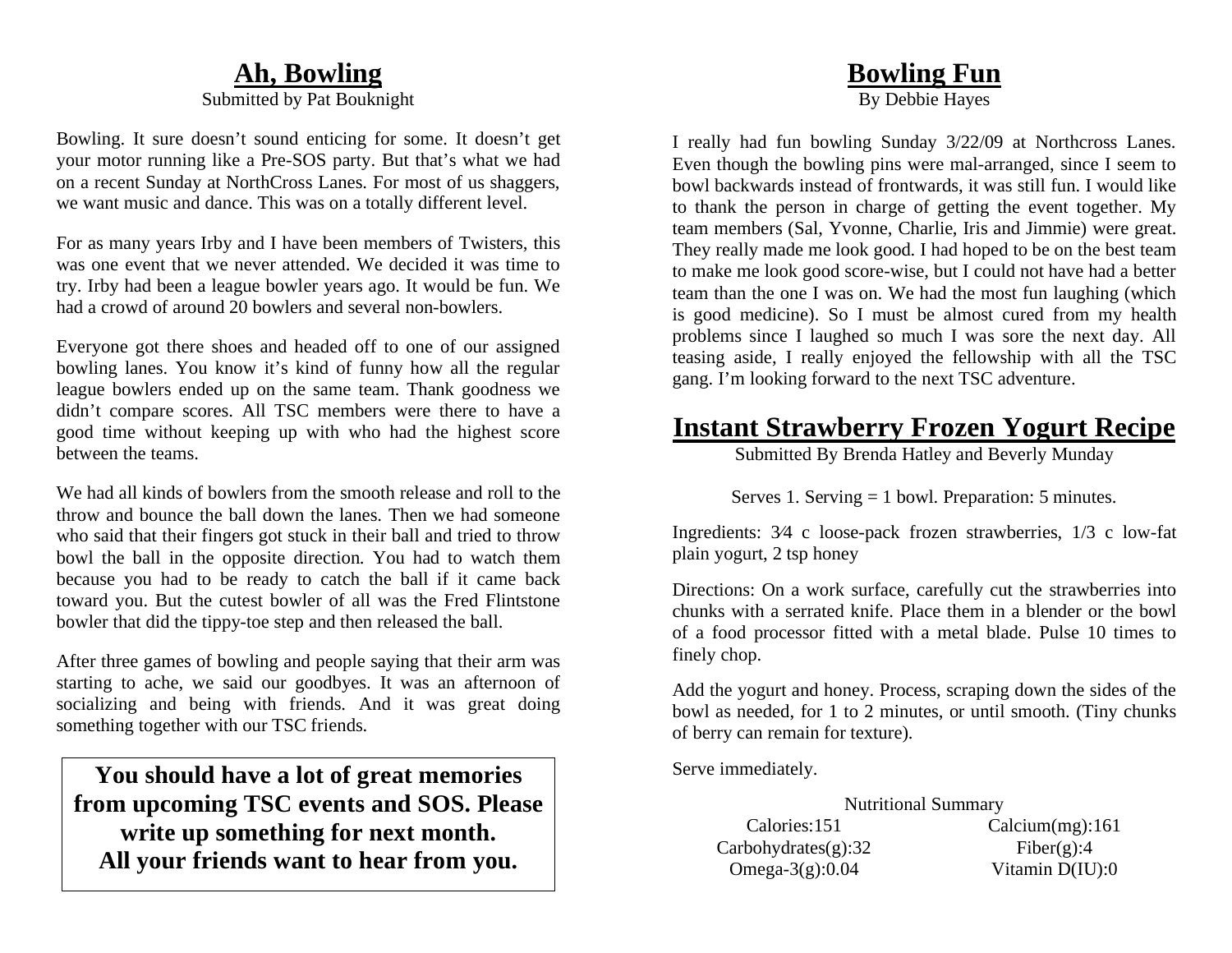## **Ah, Bowling**

#### Submitted by Pat Bouknight

Bowling. It sure doesn't sound enticing for some. It doesn't get your motor running like a Pre-SOS party. But that's what we had on a recent Sunday at NorthCross Lanes. For most of us shaggers, we want music and dance. This was on a totally different level.

For as many years Irby and I have been members of Twisters, this was one event that we never attended. We decided it was time to try. Irby had been a league bowler years ago. It would be fun. We had a crowd of around 20 bowlers and several non-bowlers.

Everyone got there shoes and headed off to one of our assigned bowling lanes. You know it's kind of funny how all the regular league bowlers ended up on the same team. Thank goodness we didn't compare scores. All TSC members were there to have a good time without keeping up with who had the highest score between the teams.

We had all kinds of bowlers from the smooth release and roll to the throw and bounce the ball down the lanes. Then we had someone who said that their fingers got stuck in their ball and tried to throw bowl the ball in the opposite direction. You had to watch them because you had to be ready to catch the ball if it came back toward you. But the cutest bowler of all was the Fred Flintstone bowler that did the tippy-toe step and then released the ball.

After three games of bowling and people saying that their arm was starting to ache, we said our goodbyes. It was an afternoon of socializing and being with friends. And it was great doing something together with our TSC friends.

**You should have a lot of great memories from upcoming TSC events and SOS. Please write up something for next month. All your friends want to hear from you.** 

## **Bowling Fun**

By Debbie Hayes

I really had fun bowling Sunday 3/22/09 at Northcross Lanes. Even though the bowling pins were mal-arranged, since I seem to bowl backwards instead of frontwards, it was still fun. I would like to thank the person in charge of getting the event together. My team members (Sal, Yvonne, Charlie, Iris and Jimmie) were great. They really made me look good. I had hoped to be on the best team to make me look good score-wise, but I could not have had a better team than the one I was on. We had the most fun laughing (which is good medicine). So I must be almost cured from my health problems since I laughed so much I was sore the next day. All teasing aside, I really enjoyed the fellowship with all the TSC gang. I'm looking forward to the next TSC adventure.

## **Instant Strawberry Frozen Yogurt Recipe**

Submitted By Brenda Hatley and Beverly Munday

Serves 1. Serving = 1 bowl. Preparation: 5 minutes.

Ingredients: 3⁄4 c loose-pack frozen strawberries, 1/3 c low-fat plain yogurt, 2 tsp honey

Directions: On a work surface, carefully cut the strawberries into chunks with a serrated knife. Place them in a blender or the bowl of a food processor fitted with a metal blade. Pulse 10 times to finely chop.

Add the yogurt and honey. Process, scraping down the sides of the bowl as needed, for 1 to 2 minutes, or until smooth. (Tiny chunks of berry can remain for texture).

Serve immediately.

| <b>Nutritional Summary</b> |                 |  |  |  |
|----------------------------|-----------------|--|--|--|
| Calories:151               | Calcium(mg):161 |  |  |  |
| $Carbo$ hydrates $(g)$ :32 | Fiber $(g)$ :4  |  |  |  |
| Omega- $3(g)$ :0.04        | Vitamin D(IU):0 |  |  |  |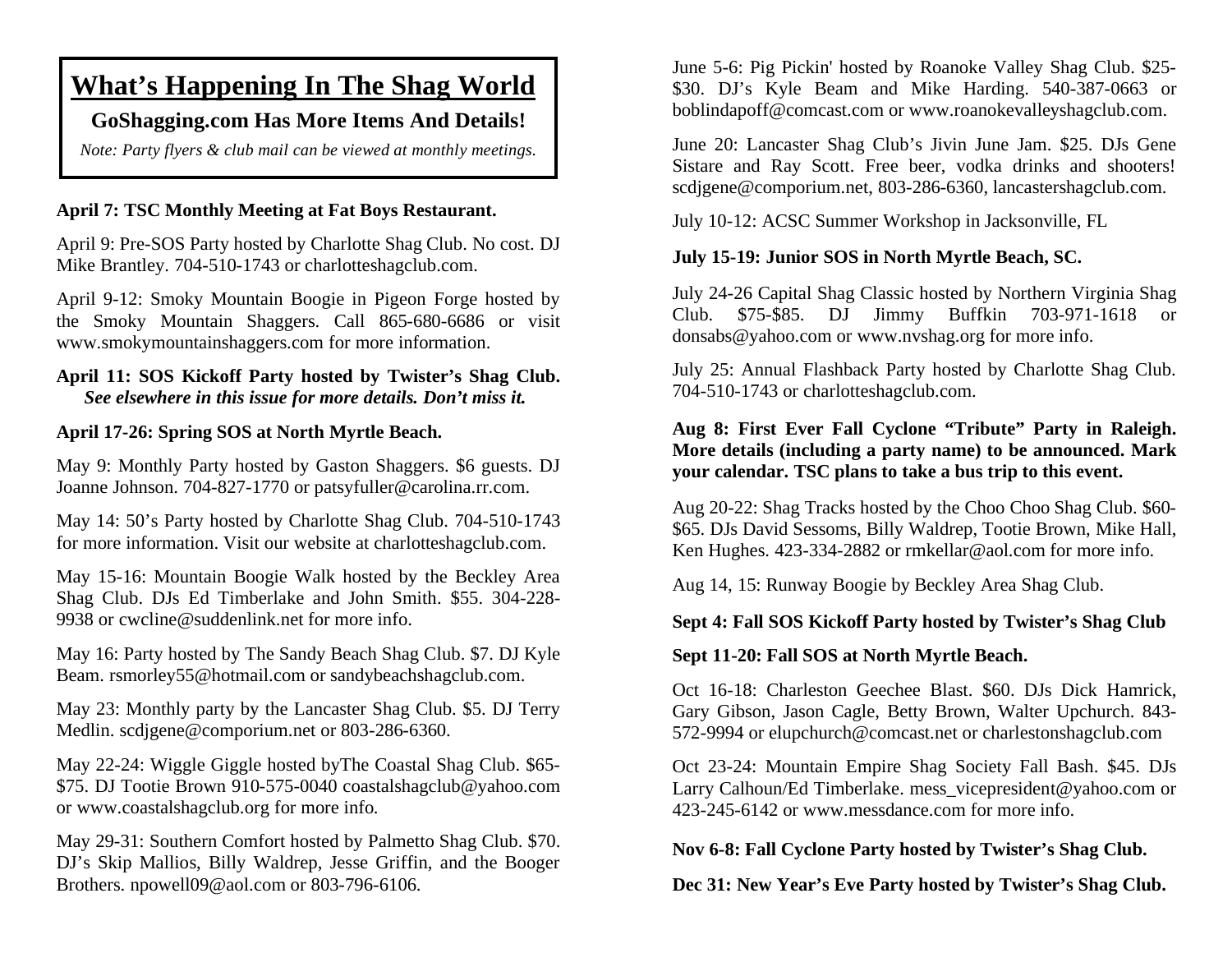## **What's Happening In The Shag World**

#### **GoShagging.com Has More Items And Details!**

*Note: Party flyers & club mail can be viewed at monthly meetings.* 

#### **April 7: TSC Monthly Meeting at Fat Boys Restaurant.**

April 9: Pre-SOS Party hosted by Charlotte Shag Club. No cost. DJ Mike Brantley. 704-510-1743 or charlotteshagclub.com.

April 9-12: Smoky Mountain Boogie in Pigeon Forge hosted by the Smoky Mountain Shaggers. Call 865-680-6686 or visit www.smokymountainshaggers.com for more information.

#### **April 11: SOS Kickoff Party hosted by Twister's Shag Club.**  *See elsewhere in this issue for more details. Don't miss it.*

#### **April 17-26: Spring SOS at North Myrtle Beach.**

May 9: Monthly Party hosted by Gaston Shaggers. \$6 guests. DJ Joanne Johnson. 704-827-1770 or patsyfuller@carolina.rr.com.

May 14: 50's Party hosted by Charlotte Shag Club. 704-510-1743 for more information. Visit our website at charlotteshagclub.com.

May 15-16: Mountain Boogie Walk hosted by the Beckley Area Shag Club. DJs Ed Timberlake and John Smith. \$55. 304-228- 9938 or cwcline@suddenlink.net for more info.

May 16: Party hosted by The Sandy Beach Shag Club. \$7. DJ Kyle Beam. rsmorley55@hotmail.com or sandybeachshagclub.com.

May 23: Monthly party by the Lancaster Shag Club. \$5. DJ Terry Medlin. scdjgene@comporium.net or 803-286-6360.

May 22-24: Wiggle Giggle hosted byThe Coastal Shag Club. \$65- \$75. DJ Tootie Brown 910-575-0040 coastalshagclub@yahoo.com or www.coastalshagclub.org for more info.

May 29-31: Southern Comfort hosted by Palmetto Shag Club. \$70. DJ's Skip Mallios, Billy Waldrep, Jesse Griffin, and the Booger Brothers. npowell09@aol.com or 803-796-6106.

June 5-6: Pig Pickin' hosted by Roanoke Valley Shag Club. \$25- \$30. DJ's Kyle Beam and Mike Harding. 540-387-0663 or boblindapoff@comcast.com or www.roanokevalleyshagclub.com.

June 20: Lancaster Shag Club's Jivin June Jam. \$25. DJs Gene Sistare and Ray Scott. Free beer, vodka drinks and shooters! scdjgene@comporium.net, 803-286-6360, lancastershagclub.com.

July 10-12: ACSC Summer Workshop in Jacksonville, FL

#### **July 15-19: Junior SOS in North Myrtle Beach, SC.**

July 24-26 Capital Shag Classic hosted by Northern Virginia Shag Club. \$75-\$85. DJ Jimmy Buffkin 703-971-1618 or donsabs@yahoo.com or www.nvshag.org for more info.

July 25: Annual Flashback Party hosted by Charlotte Shag Club. 704-510-1743 or charlotteshagclub.com.

#### **Aug 8: First Ever Fall Cyclone "Tribute" Party in Raleigh. More details (including a party name) to be announced. Mark your calendar. TSC plans to take a bus trip to this event.**

Aug 20-22: Shag Tracks hosted by the Choo Choo Shag Club. \$60- \$65. DJs David Sessoms, Billy Waldrep, Tootie Brown, Mike Hall, Ken Hughes. 423-334-2882 or rmkellar@aol.com for more info.

Aug 14, 15: Runway Boogie by Beckley Area Shag Club.

#### **Sept 4: Fall SOS Kickoff Party hosted by Twister's Shag Club**

#### **Sept 11-20: Fall SOS at North Myrtle Beach.**

Oct 16-18: Charleston Geechee Blast. \$60. DJs Dick Hamrick, Gary Gibson, Jason Cagle, Betty Brown, Walter Upchurch. 843- 572-9994 or elupchurch@comcast.net or charlestonshagclub.com

Oct 23-24: Mountain Empire Shag Society Fall Bash. \$45. DJs Larry Calhoun/Ed Timberlake. mess\_vicepresident@yahoo.com or 423-245-6142 or www.messdance.com for more info.

**Nov 6-8: Fall Cyclone Party hosted by Twister's Shag Club.** 

#### **Dec 31: New Year's Eve Party hosted by Twister's Shag Club.**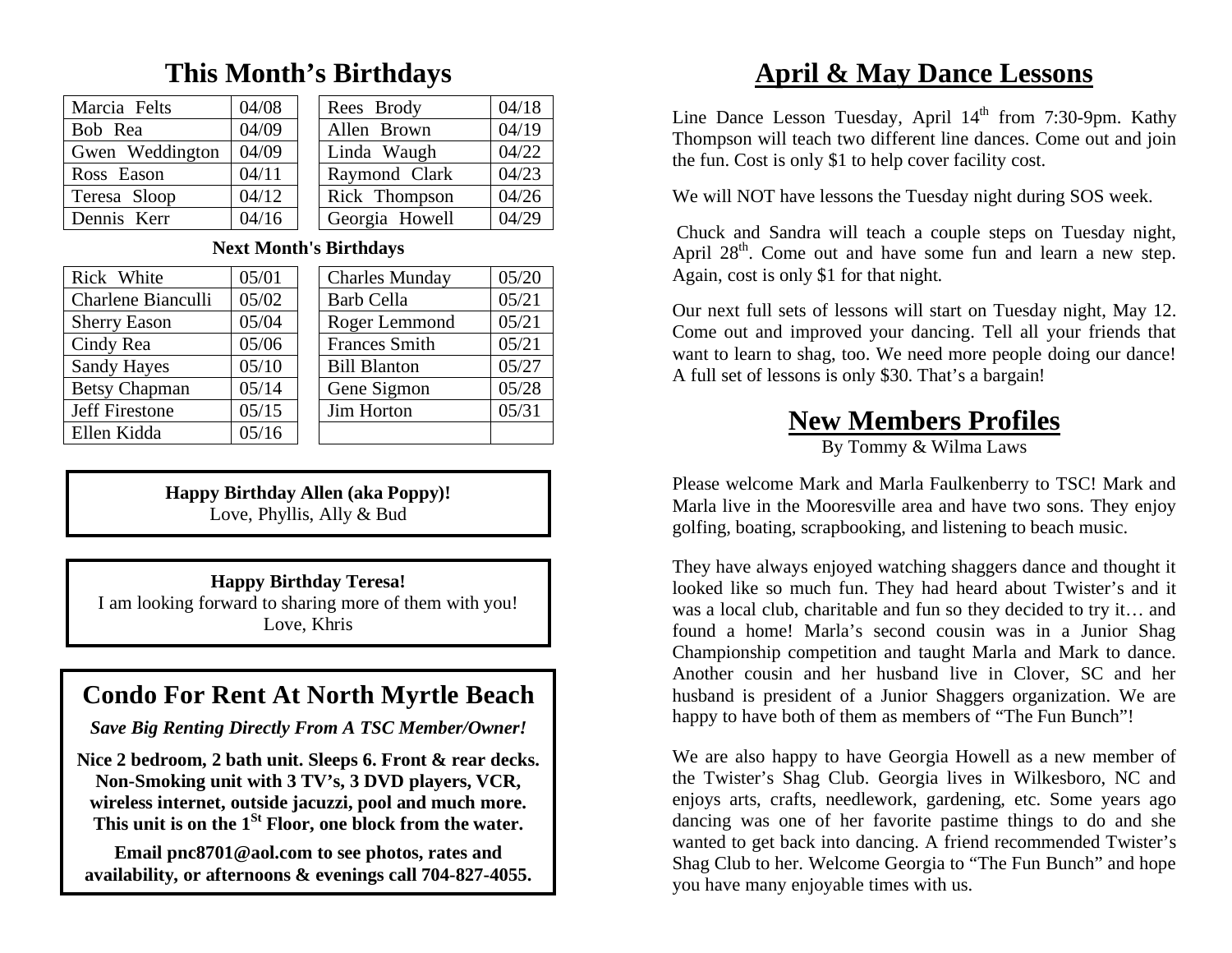## **This Month's Birthdays**

| Marcia Felts    | 04/08 | Rees Brody     | 04/18 |
|-----------------|-------|----------------|-------|
| Bob Rea         | 04/09 | Allen Brown    | 04/19 |
| Gwen Weddington | 04/09 | Linda Waugh    | 04/22 |
| Ross Eason      | 04/11 | Raymond Clark  | 04/23 |
| Teresa Sloop    | 04/12 | Rick Thompson  | 04/26 |
| Dennis Kerr     | 04/16 | Georgia Howell | 04/29 |

#### **Next Month's Birthdays**

| Rick White           | 05/01 | <b>Charles Munday</b> | 05/20 |
|----------------------|-------|-----------------------|-------|
| Charlene Bianculli   | 05/02 | <b>Barb Cella</b>     | 05/21 |
| <b>Sherry Eason</b>  | 05/04 | Roger Lemmond         | 05/21 |
| Cindy Rea            | 05/06 | <b>Frances Smith</b>  | 05/21 |
| <b>Sandy Hayes</b>   | 05/10 | <b>Bill Blanton</b>   | 05/27 |
| <b>Betsy Chapman</b> | 05/14 | Gene Sigmon           | 05/28 |
| Jeff Firestone       | 05/15 | Jim Horton            | 05/31 |
| Ellen Kidda          | 05/16 |                       |       |
|                      |       |                       |       |

**Happy Birthday Allen (aka Poppy)!**  Love, Phyllis, Ally & Bud

#### **Happy Birthday Teresa!**

I am looking forward to sharing more of them with you! Love, Khris

## **Condo For Rent At North Myrtle Beach**

*Save Big Renting Directly From A TSC Member/Owner!* 

**Nice 2 bedroom, 2 bath unit. Sleeps 6. Front & rear decks. Non-Smoking unit with 3 TV's, 3 DVD players, VCR, wireless internet, outside jacuzzi, pool and much more. This unit is on the 1St Floor, one block from the water.** 

**Email pnc8701@aol.com to see photos, rates and availability, or afternoons & evenings call 704-827-4055.** 

## **April & May Dance Lessons**

Line Dance Lesson Tuesday, April  $14<sup>th</sup>$  from 7:30-9pm. Kathy Thompson will teach two different line dances. Come out and join the fun. Cost is only \$1 to help cover facility cost.

We will NOT have lessons the Tuesday night during SOS week.

 Chuck and Sandra will teach a couple steps on Tuesday night, April  $28<sup>th</sup>$ . Come out and have some fun and learn a new step. Again, cost is only \$1 for that night.

Our next full sets of lessons will start on Tuesday night, May 12. Come out and improved your dancing. Tell all your friends that want to learn to shag, too. We need more people doing our dance! A full set of lessons is only \$30. That's a bargain!

## **New Members Profiles**

By Tommy & Wilma Laws

Please welcome Mark and Marla Faulkenberry to TSC! Mark and Marla live in the Mooresville area and have two sons. They enjoy golfing, boating, scrapbooking, and listening to beach music.

They have always enjoyed watching shaggers dance and thought it looked like so much fun. They had heard about Twister's and it was a local club, charitable and fun so they decided to try it… and found a home! Marla's second cousin was in a Junior Shag Championship competition and taught Marla and Mark to dance. Another cousin and her husband live in Clover, SC and her husband is president of a Junior Shaggers organization. We are happy to have both of them as members of "The Fun Bunch"!

We are also happy to have Georgia Howell as a new member of the Twister's Shag Club. Georgia lives in Wilkesboro, NC and enjoys arts, crafts, needlework, gardening, etc. Some years ago dancing was one of her favorite pastime things to do and she wanted to get back into dancing. A friend recommended Twister's Shag Club to her. Welcome Georgia to "The Fun Bunch" and hope you have many enjoyable times with us.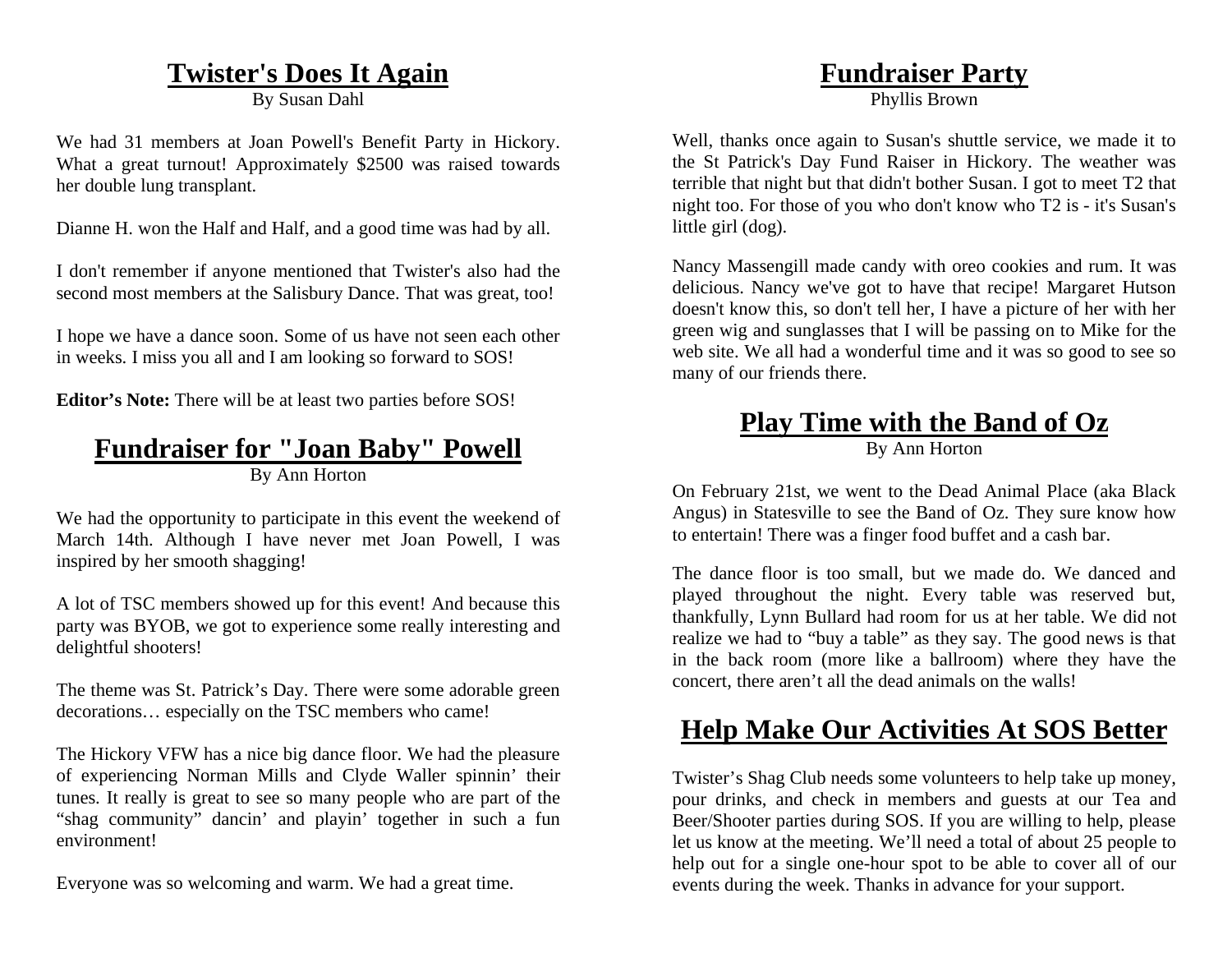## **Twister's Does It Again**

By Susan Dahl

We had 31 members at Joan Powell's Benefit Party in Hickory. What a great turnout! Approximately \$2500 was raised towards her double lung transplant.

Dianne H. won the Half and Half, and a good time was had by all.

I don't remember if anyone mentioned that Twister's also had the second most members at the Salisbury Dance. That was great, too!

I hope we have a dance soon. Some of us have not seen each other in weeks. I miss you all and I am looking so forward to SOS!

**Editor's Note:** There will be at least two parties before SOS!

## **Fundraiser for "Joan Baby" Powell**

By Ann Horton

We had the opportunity to participate in this event the weekend of March 14th. Although I have never met Joan Powell, I was inspired by her smooth shagging!

A lot of TSC members showed up for this event! And because this party was BYOB, we got to experience some really interesting and delightful shooters!

The theme was St. Patrick's Day. There were some adorable green decorations… especially on the TSC members who came!

The Hickory VFW has a nice big dance floor. We had the pleasure of experiencing Norman Mills and Clyde Waller spinnin' their tunes. It really is great to see so many people who are part of the "shag community" dancin' and playin' together in such a fun environment!

Everyone was so welcoming and warm. We had a great time.

## **Fundraiser Party**

Phyllis Brown

Well, thanks once again to Susan's shuttle service, we made it to the St Patrick's Day Fund Raiser in Hickory. The weather was terrible that night but that didn't bother Susan. I got to meet T2 that night too. For those of you who don't know who T2 is - it's Susan's little girl (dog).

Nancy Massengill made candy with oreo cookies and rum. It was delicious. Nancy we've got to have that recipe! Margaret Hutson doesn't know this, so don't tell her, I have a picture of her with her green wig and sunglasses that I will be passing on to Mike for the web site. We all had a wonderful time and it was so good to see so many of our friends there.

## **Play Time with the Band of Oz**

By Ann Horton

On February 21st, we went to the Dead Animal Place (aka Black Angus) in Statesville to see the Band of Oz. They sure know how to entertain! There was a finger food buffet and a cash bar.

The dance floor is too small, but we made do. We danced and played throughout the night. Every table was reserved but, thankfully, Lynn Bullard had room for us at her table. We did not realize we had to "buy a table" as they say. The good news is that in the back room (more like a ballroom) where they have the concert, there aren't all the dead animals on the walls!

## **Help Make Our Activities At SOS Better**

Twister's Shag Club needs some volunteers to help take up money, pour drinks, and check in members and guests at our Tea and Beer/Shooter parties during SOS. If you are willing to help, please let us know at the meeting. We'll need a total of about 25 people to help out for a single one-hour spot to be able to cover all of our events during the week. Thanks in advance for your support.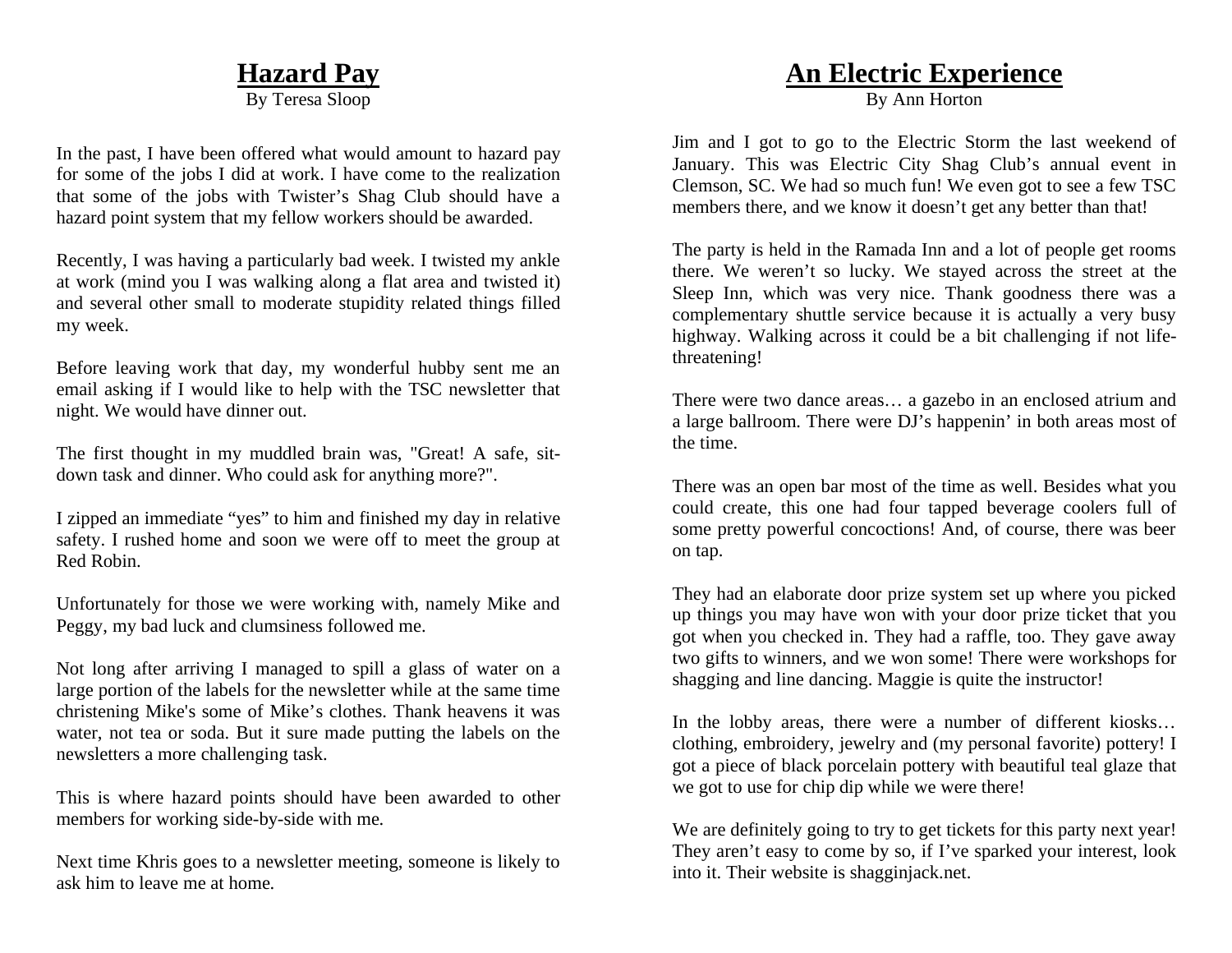#### **Hazard Pay** By Teresa Sloop

In the past, I have been offered what would amount to hazard pay for some of the jobs I did at work. I have come to the realization that some of the jobs with Twister's Shag Club should have a hazard point system that my fellow workers should be awarded.

Recently, I was having a particularly bad week. I twisted my ankle at work (mind you I was walking along a flat area and twisted it) and several other small to moderate stupidity related things filled my week.

Before leaving work that day, my wonderful hubby sent me an email asking if I would like to help with the TSC newsletter that night. We would have dinner out.

The first thought in my muddled brain was, "Great! A safe, sitdown task and dinner. Who could ask for anything more?".

I zipped an immediate "yes" to him and finished my day in relative safety. I rushed home and soon we were off to meet the group at Red Robin.

Unfortunately for those we were working with, namely Mike and Peggy, my bad luck and clumsiness followed me.

Not long after arriving I managed to spill a glass of water on a large portion of the labels for the newsletter while at the same time christening Mike's some of Mike's clothes. Thank heavens it was water, not tea or soda. But it sure made putting the labels on the newsletters a more challenging task.

This is where hazard points should have been awarded to other members for working side-by-side with me.

Next time Khris goes to a newsletter meeting, someone is likely to ask him to leave me at home.

## **An Electric Experience**

By Ann Horton

Jim and I got to go to the Electric Storm the last weekend of January. This was Electric City Shag Club's annual event in Clemson, SC. We had so much fun! We even got to see a few TSC members there, and we know it doesn't get any better than that!

The party is held in the Ramada Inn and a lot of people get rooms there. We weren't so lucky. We stayed across the street at the Sleep Inn, which was very nice. Thank goodness there was a complementary shuttle service because it is actually a very busy highway. Walking across it could be a bit challenging if not lifethreatening!

There were two dance areas… a gazebo in an enclosed atrium and a large ballroom. There were DJ's happenin' in both areas most of the time.

There was an open bar most of the time as well. Besides what you could create, this one had four tapped beverage coolers full of some pretty powerful concoctions! And, of course, there was beer on tap.

They had an elaborate door prize system set up where you picked up things you may have won with your door prize ticket that you got when you checked in. They had a raffle, too. They gave away two gifts to winners, and we won some! There were workshops for shagging and line dancing. Maggie is quite the instructor!

In the lobby areas, there were a number of different kiosks… clothing, embroidery, jewelry and (my personal favorite) pottery! I got a piece of black porcelain pottery with beautiful teal glaze that we got to use for chip dip while we were there!

We are definitely going to try to get tickets for this party next year! They aren't easy to come by so, if I've sparked your interest, look into it. Their website is shagginjack.net.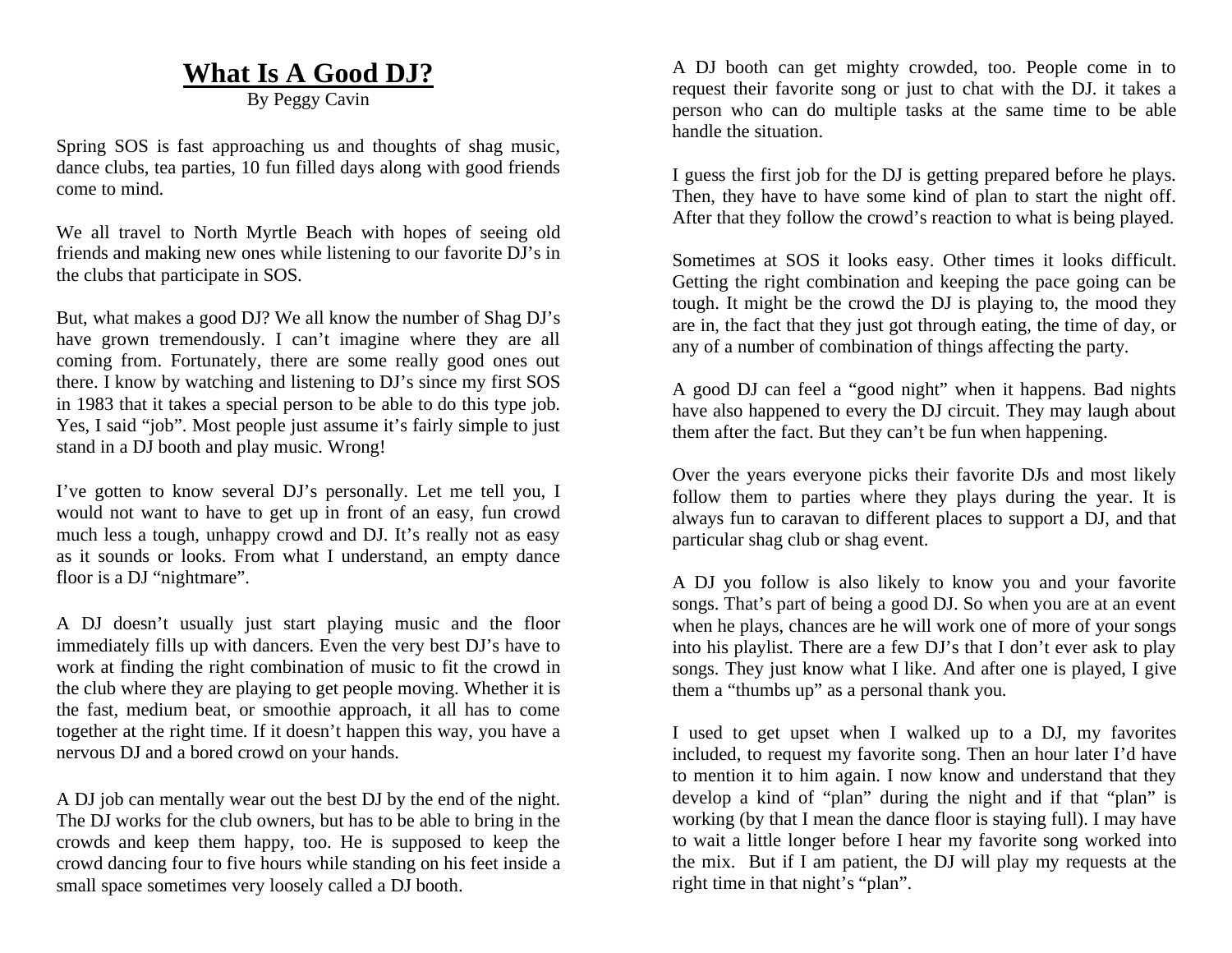## **What Is A Good DJ?**

By Peggy Cavin

Spring SOS is fast approaching us and thoughts of shag music, dance clubs, tea parties, 10 fun filled days along with good friends come to mind.

We all travel to North Myrtle Beach with hopes of seeing old friends and making new ones while listening to our favorite DJ's in the clubs that participate in SOS.

But, what makes a good DJ? We all know the number of Shag DJ's have grown tremendously. I can't imagine where they are all coming from. Fortunately, there are some really good ones out there. I know by watching and listening to DJ's since my first SOS in 1983 that it takes a special person to be able to do this type job. Yes, I said "job". Most people just assume it's fairly simple to just stand in a DJ booth and play music. Wrong!

I've gotten to know several DJ's personally. Let me tell you, I would not want to have to get up in front of an easy, fun crowd much less a tough, unhappy crowd and DJ. It's really not as easy as it sounds or looks. From what I understand, an empty dance floor is a DJ "nightmare".

A DJ doesn't usually just start playing music and the floor immediately fills up with dancers. Even the very best DJ's have to work at finding the right combination of music to fit the crowd in the club where they are playing to get people moving. Whether it is the fast, medium beat, or smoothie approach, it all has to come together at the right time. If it doesn't happen this way, you have a nervous DJ and a bored crowd on your hands.

A DJ job can mentally wear out the best DJ by the end of the night. The DJ works for the club owners, but has to be able to bring in the crowds and keep them happy, too. He is supposed to keep the crowd dancing four to five hours while standing on his feet inside a small space sometimes very loosely called a DJ booth.

A DJ booth can get mighty crowded, too. People come in to request their favorite song or just to chat with the DJ. it takes a person who can do multiple tasks at the same time to be able handle the situation.

I guess the first job for the DJ is getting prepared before he plays. Then, they have to have some kind of plan to start the night off. After that they follow the crowd's reaction to what is being played.

Sometimes at SOS it looks easy. Other times it looks difficult. Getting the right combination and keeping the pace going can be tough. It might be the crowd the DJ is playing to, the mood they are in, the fact that they just got through eating, the time of day, or any of a number of combination of things affecting the party.

A good DJ can feel a "good night" when it happens. Bad nights have also happened to every the DJ circuit. They may laugh about them after the fact. But they can't be fun when happening.

Over the years everyone picks their favorite DJs and most likely follow them to parties where they plays during the year. It is always fun to caravan to different places to support a DJ, and that particular shag club or shag event.

A DJ you follow is also likely to know you and your favorite songs. That's part of being a good DJ. So when you are at an event when he plays, chances are he will work one of more of your songs into his playlist. There are a few DJ's that I don't ever ask to play songs. They just know what I like. And after one is played, I give them a "thumbs up" as a personal thank you.

I used to get upset when I walked up to a DJ, my favorites included, to request my favorite song. Then an hour later I'd have to mention it to him again. I now know and understand that they develop a kind of "plan" during the night and if that "plan" is working (by that I mean the dance floor is staying full). I may have to wait a little longer before I hear my favorite song worked into the mix. But if I am patient, the DJ will play my requests at the right time in that night's "plan".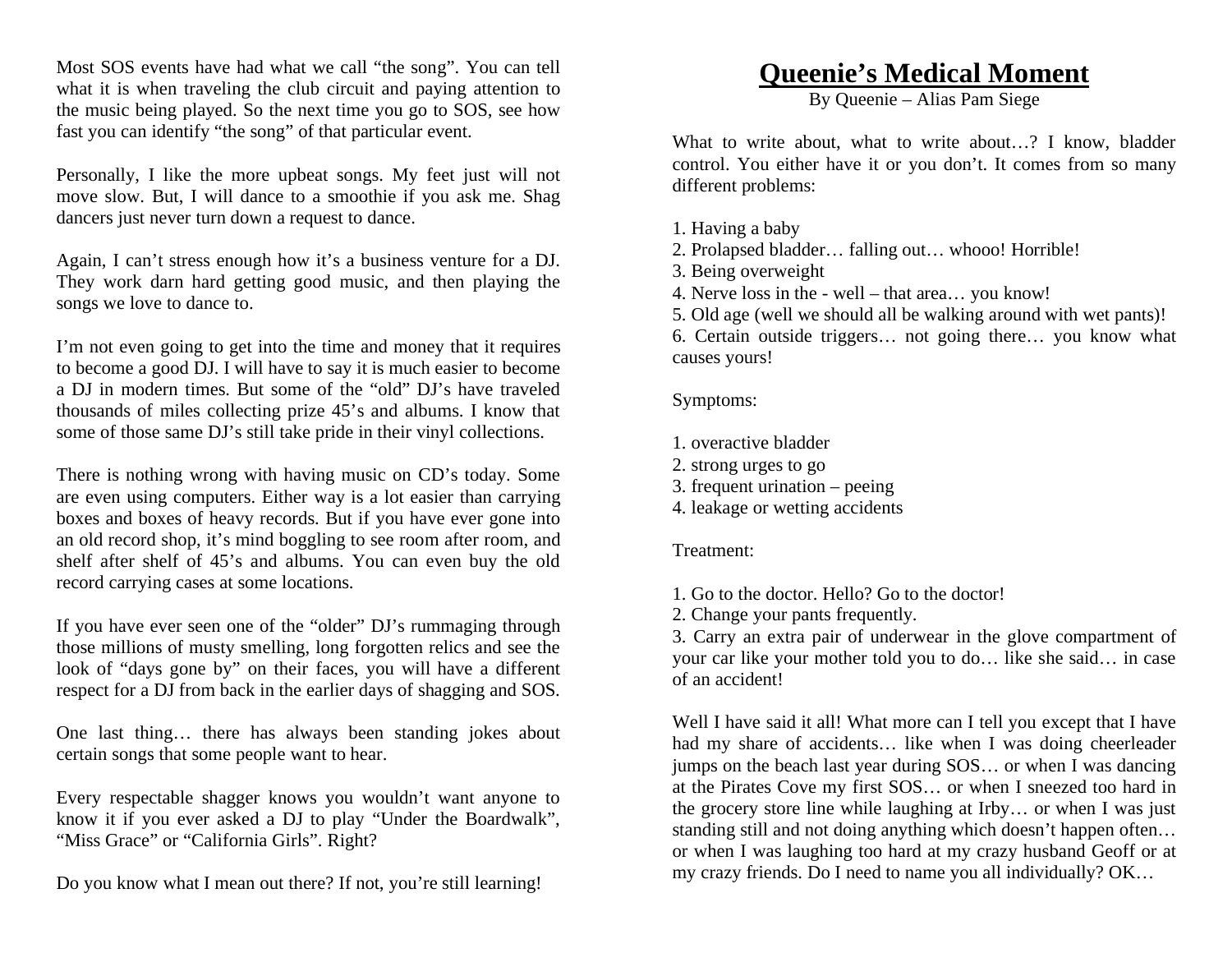Most SOS events have had what we call "the song". You can tell what it is when traveling the club circuit and paying attention to the music being played. So the next time you go to SOS, see how fast you can identify "the song" of that particular event.

Personally, I like the more upbeat songs. My feet just will not move slow. But, I will dance to a smoothie if you ask me. Shag dancers just never turn down a request to dance.

Again, I can't stress enough how it's a business venture for a DJ. They work darn hard getting good music, and then playing the songs we love to dance to.

I'm not even going to get into the time and money that it requires to become a good DJ. I will have to say it is much easier to become a DJ in modern times. But some of the "old" DJ's have traveled thousands of miles collecting prize 45's and albums. I know that some of those same DJ's still take pride in their vinyl collections.

There is nothing wrong with having music on CD's today. Some are even using computers. Either way is a lot easier than carrying boxes and boxes of heavy records. But if you have ever gone into an old record shop, it's mind boggling to see room after room, and shelf after shelf of 45's and albums. You can even buy the old record carrying cases at some locations.

If you have ever seen one of the "older" DJ's rummaging through those millions of musty smelling, long forgotten relics and see the look of "days gone by" on their faces, you will have a different respect for a DJ from back in the earlier days of shagging and SOS.

One last thing… there has always been standing jokes about certain songs that some people want to hear.

Every respectable shagger knows you wouldn't want anyone to know it if you ever asked a DJ to play "Under the Boardwalk", "Miss Grace" or "California Girls". Right?

Do you know what I mean out there? If not, you're still learning!

## **Queenie's Medical Moment**

By Queenie – Alias Pam Siege

What to write about, what to write about...? I know, bladder control. You either have it or you don't. It comes from so many different problems:

- 1. Having a baby
- 2. Prolapsed bladder… falling out… whooo! Horrible!
- 3. Being overweight
- 4. Nerve loss in the well that area… you know!
- 5. Old age (well we should all be walking around with wet pants)!

6. Certain outside triggers… not going there… you know what causes yours!

#### Symptoms:

- 1. overactive bladder
- 2. strong urges to go
- 3. frequent urination peeing
- 4. leakage or wetting accidents

#### Treatment:

- 1. Go to the doctor. Hello? Go to the doctor!
- 2. Change your pants frequently.

3. Carry an extra pair of underwear in the glove compartment of your car like your mother told you to do… like she said… in case of an accident!

Well I have said it all! What more can I tell you except that I have had my share of accidents... like when I was doing cheerleader jumps on the beach last year during SOS… or when I was dancing at the Pirates Cove my first SOS… or when I sneezed too hard in the grocery store line while laughing at Irby… or when I was just standing still and not doing anything which doesn't happen often… or when I was laughing too hard at my crazy husband Geoff or at my crazy friends. Do I need to name you all individually? OK…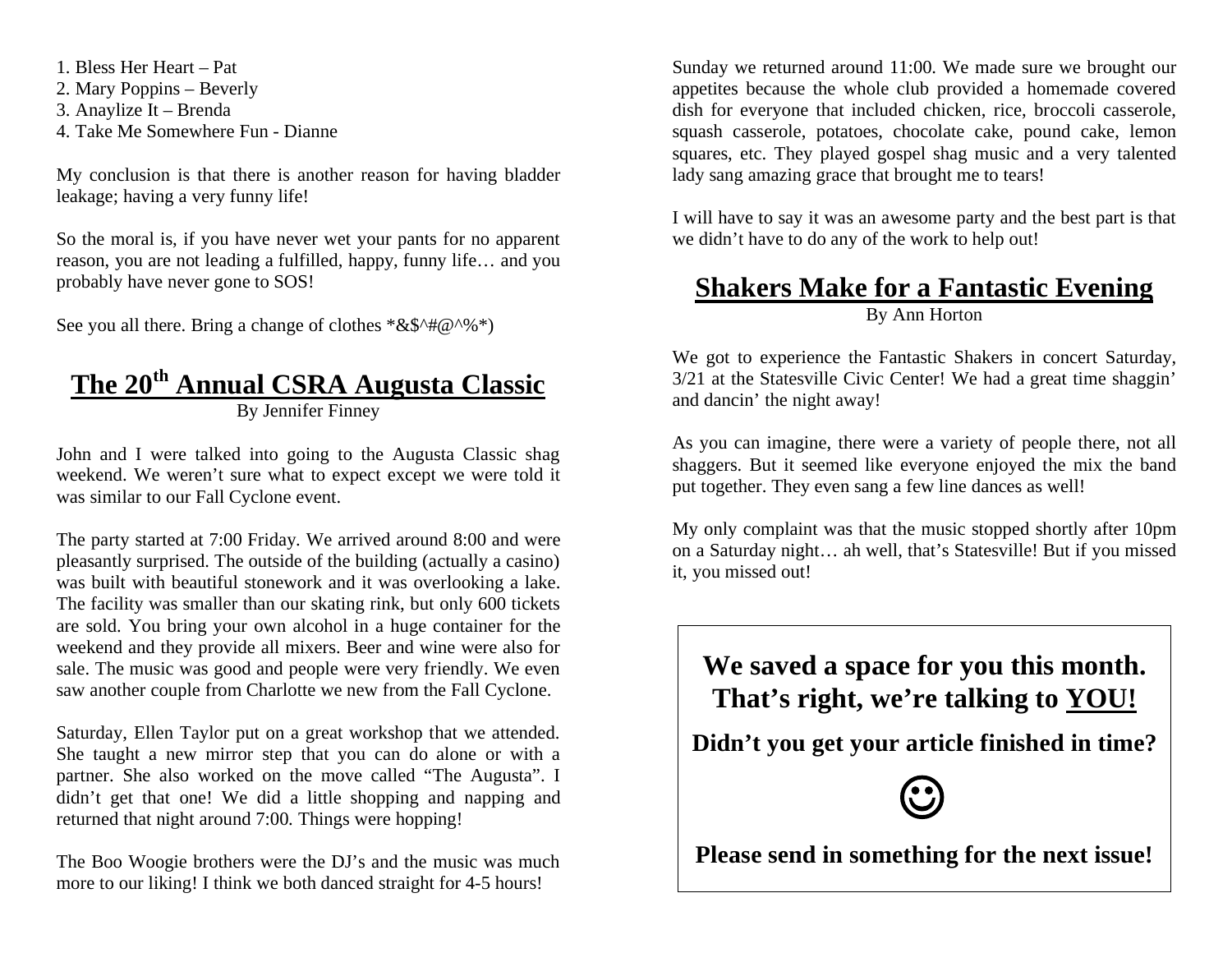1. Bless Her Heart – Pat 2. Mary Poppins – Beverly 3. Anaylize It – Brenda 4. Take Me Somewhere Fun - Dianne

My conclusion is that there is another reason for having bladder leakage; having a very funny life!

So the moral is, if you have never wet your pants for no apparent reason, you are not leading a fulfilled, happy, funny life… and you probably have never gone to SOS!

See you all there. Bring a change of clothes  $*&$ \$^#@^%\*)

#### **The 20th Annual CSRA Augusta Classic** By Jennifer Finney

John and I were talked into going to the Augusta Classic shag weekend. We weren't sure what to expect except we were told it was similar to our Fall Cyclone event.

The party started at 7:00 Friday. We arrived around 8:00 and were pleasantly surprised. The outside of the building (actually a casino) was built with beautiful stonework and it was overlooking a lake. The facility was smaller than our skating rink, but only 600 tickets are sold. You bring your own alcohol in a huge container for the weekend and they provide all mixers. Beer and wine were also for sale. The music was good and people were very friendly. We even saw another couple from Charlotte we new from the Fall Cyclone.

Saturday, Ellen Taylor put on a great workshop that we attended. She taught a new mirror step that you can do alone or with a partner. She also worked on the move called "The Augusta". I didn't get that one! We did a little shopping and napping and returned that night around 7:00. Things were hopping!

The Boo Woogie brothers were the DJ's and the music was much more to our liking! I think we both danced straight for 4-5 hours!

Sunday we returned around 11:00. We made sure we brought our appetites because the whole club provided a homemade covered dish for everyone that included chicken, rice, broccoli casserole, squash casserole, potatoes, chocolate cake, pound cake, lemon squares, etc. They played gospel shag music and a very talented lady sang amazing grace that brought me to tears!

I will have to say it was an awesome party and the best part is that we didn't have to do any of the work to help out!

#### **Shakers Make for a Fantastic Evening** By Ann Horton

We got to experience the Fantastic Shakers in concert Saturday, 3/21 at the Statesville Civic Center! We had a great time shaggin' and dancin' the night away!

As you can imagine, there were a variety of people there, not all shaggers. But it seemed like everyone enjoyed the mix the band put together. They even sang a few line dances as well!

My only complaint was that the music stopped shortly after 10pm on a Saturday night… ah well, that's Statesville! But if you missed it, you missed out!

**We saved a space for you this month. That's right, we're talking to YOU!**

**Didn't you get your article finished in time?** 



**Please send in something for the next issue!**